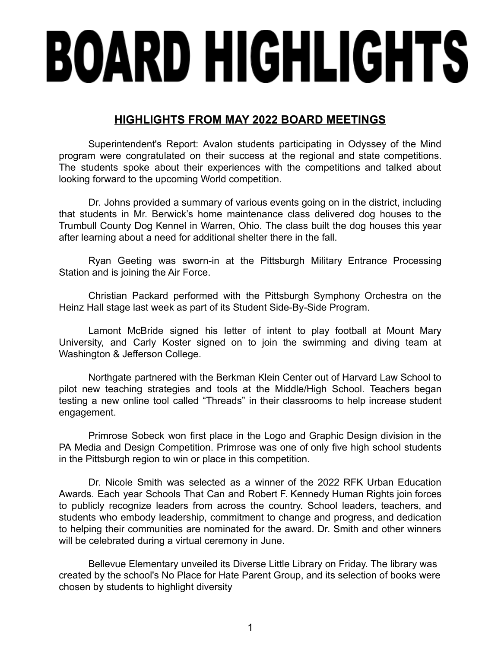## **BOARD HIGHLIGHTS**

## **HIGHLIGHTS FROM MAY 2022 BOARD MEETINGS**

Superintendent's Report: Avalon students participating in Odyssey of the Mind program were congratulated on their success at the regional and state competitions. The students spoke about their experiences with the competitions and talked about looking forward to the upcoming World competition.

Dr. Johns provided a summary of various events going on in the district, including that students in Mr. Berwick's home maintenance class delivered dog houses to the Trumbull County Dog Kennel in Warren, Ohio. The class built the dog houses this year after learning about a need for additional shelter there in the fall.

Ryan Geeting was sworn-in at the Pittsburgh Military Entrance Processing Station and is joining the Air Force.

Christian Packard performed with the Pittsburgh Symphony Orchestra on the Heinz Hall stage last week as part of its Student Side-By-Side Program.

Lamont McBride signed his letter of intent to play football at Mount Mary University, and Carly Koster signed on to join the swimming and diving team at Washington & Jefferson College.

Northgate partnered with the Berkman Klein Center out of Harvard Law School to pilot new teaching strategies and tools at the Middle/High School. Teachers began testing a new online tool called "Threads" in their classrooms to help increase student engagement.

Primrose Sobeck won first place in the Logo and Graphic Design division in the PA Media and Design Competition. Primrose was one of only five high school students in the Pittsburgh region to win or place in this competition.

Dr. Nicole Smith was selected as a winner of the 2022 RFK Urban Education Awards. Each year Schools That Can and Robert F. Kennedy Human Rights join forces to publicly recognize leaders from across the country. School leaders, teachers, and students who embody leadership, commitment to change and progress, and dedication to helping their communities are nominated for the award. Dr. Smith and other winners will be celebrated during a virtual ceremony in June.

Bellevue Elementary unveiled its Diverse Little Library on Friday. The library was created by the school's No Place for Hate Parent Group, and its selection of books were chosen by students to highlight diversity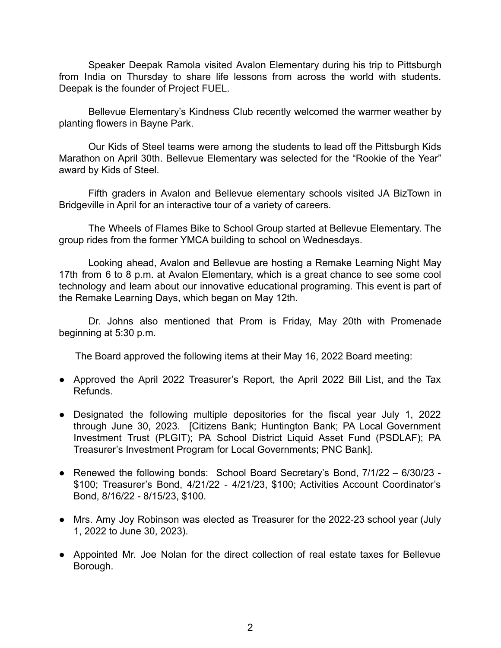Speaker Deepak Ramola visited Avalon Elementary during his trip to Pittsburgh from India on Thursday to share life lessons from across the world with students. Deepak is the founder of Project FUEL.

Bellevue Elementary's Kindness Club recently welcomed the warmer weather by planting flowers in Bayne Park.

Our Kids of Steel teams were among the students to lead off the Pittsburgh Kids Marathon on April 30th. Bellevue Elementary was selected for the "Rookie of the Year" award by Kids of Steel.

Fifth graders in Avalon and Bellevue elementary schools visited JA BizTown in Bridgeville in April for an interactive tour of a variety of careers.

The Wheels of Flames Bike to School Group started at Bellevue Elementary. The group rides from the former YMCA building to school on Wednesdays.

Looking ahead, Avalon and Bellevue are hosting a Remake Learning Night May 17th from 6 to 8 p.m. at Avalon Elementary, which is a great chance to see some cool technology and learn about our innovative educational programing. This event is part of the Remake Learning Days, which began on May 12th.

Dr. Johns also mentioned that Prom is Friday, May 20th with Promenade beginning at 5:30 p.m.

The Board approved the following items at their May 16, 2022 Board meeting:

- Approved the April 2022 Treasurer's Report, the April 2022 Bill List, and the Tax Refunds.
- Designated the following multiple depositories for the fiscal year July 1, 2022 through June 30, 2023. [Citizens Bank; Huntington Bank; PA Local Government Investment Trust (PLGIT); PA School District Liquid Asset Fund (PSDLAF); PA Treasurer's Investment Program for Local Governments; PNC Bank].
- Renewed the following bonds: School Board Secretary's Bond, 7/1/22 6/30/23 \$100; Treasurer's Bond, 4/21/22 - 4/21/23, \$100; Activities Account Coordinator's Bond, 8/16/22 - 8/15/23, \$100.
- Mrs. Amy Joy Robinson was elected as Treasurer for the 2022-23 school year (July 1, 2022 to June 30, 2023).
- Appointed Mr. Joe Nolan for the direct collection of real estate taxes for Bellevue Borough.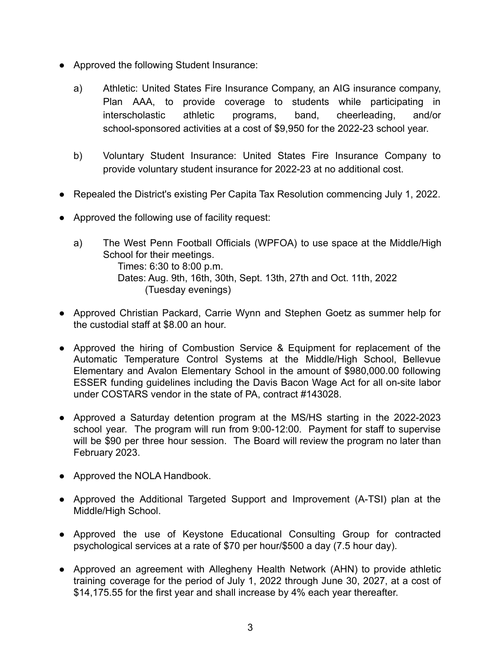- Approved the following Student Insurance:
	- a) Athletic: United States Fire Insurance Company, an AIG insurance company, Plan AAA, to provide coverage to students while participating in interscholastic athletic programs, band, cheerleading, and/or school-sponsored activities at a cost of \$9,950 for the 2022-23 school year.
	- b) Voluntary Student Insurance: United States Fire Insurance Company to provide voluntary student insurance for 2022-23 at no additional cost.
- Repealed the District's existing Per Capita Tax Resolution commencing July 1, 2022.
- Approved the following use of facility request:
	- a) The West Penn Football Officials (WPFOA) to use space at the Middle/High School for their meetings. Times: 6:30 to 8:00 p.m. Dates: Aug. 9th, 16th, 30th, Sept. 13th, 27th and Oct. 11th, 2022 (Tuesday evenings)
- Approved Christian Packard, Carrie Wynn and Stephen Goetz as summer help for the custodial staff at \$8.00 an hour.
- Approved the hiring of Combustion Service & Equipment for replacement of the Automatic Temperature Control Systems at the Middle/High School, Bellevue Elementary and Avalon Elementary School in the amount of \$980,000.00 following ESSER funding guidelines including the Davis Bacon Wage Act for all on-site labor under COSTARS vendor in the state of PA, contract #143028.
- Approved a Saturday detention program at the MS/HS starting in the 2022-2023 school year. The program will run from 9:00-12:00. Payment for staff to supervise will be \$90 per three hour session. The Board will review the program no later than February 2023.
- Approved the NOLA Handbook.
- Approved the Additional Targeted Support and Improvement (A-TSI) plan at the Middle/High School.
- Approved the use of Keystone Educational Consulting Group for contracted psychological services at a rate of \$70 per hour/\$500 a day (7.5 hour day).
- Approved an agreement with Allegheny Health Network (AHN) to provide athletic training coverage for the period of July 1, 2022 through June 30, 2027, at a cost of \$14,175.55 for the first year and shall increase by 4% each year thereafter.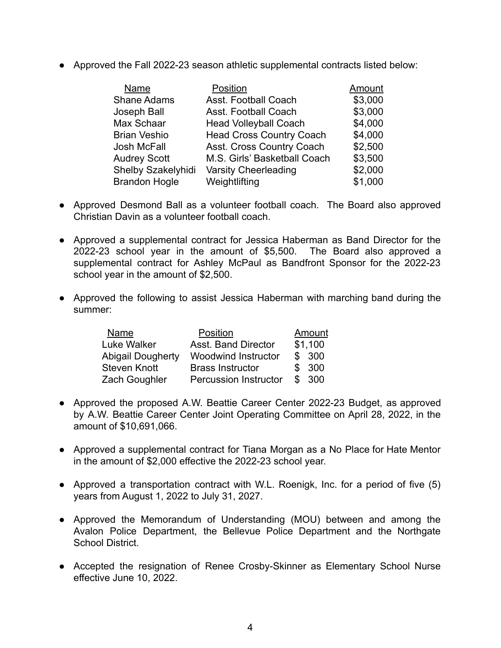● Approved the Fall 2022-23 season athletic supplemental contracts listed below:

| Name                 | Position                        | Amount  |
|----------------------|---------------------------------|---------|
| <b>Shane Adams</b>   | Asst. Football Coach            | \$3,000 |
| Joseph Ball          | Asst. Football Coach            | \$3,000 |
| Max Schaar           | <b>Head Volleyball Coach</b>    | \$4,000 |
| <b>Brian Veshio</b>  | <b>Head Cross Country Coach</b> | \$4,000 |
| Josh McFall          | Asst. Cross Country Coach       | \$2,500 |
| <b>Audrey Scott</b>  | M.S. Girls' Basketball Coach    | \$3,500 |
| Shelby Szakelyhidi   | <b>Varsity Cheerleading</b>     | \$2,000 |
| <b>Brandon Hogle</b> | Weightlifting                   | \$1,000 |

- Approved Desmond Ball as a volunteer football coach. The Board also approved Christian Davin as a volunteer football coach.
- Approved a supplemental contract for Jessica Haberman as Band Director for the 2022-23 school year in the amount of \$5,500. The Board also approved a supplemental contract for Ashley McPaul as Bandfront Sponsor for the 2022-23 school year in the amount of \$2,500.
- Approved the following to assist Jessica Haberman with marching band during the summer:

| Name                     | Position                     | Amount |         |
|--------------------------|------------------------------|--------|---------|
| Luke Walker              | <b>Asst. Band Director</b>   |        | \$1,100 |
| <b>Abigail Dougherty</b> | <b>Woodwind Instructor</b>   |        | \$300   |
| <b>Steven Knott</b>      | <b>Brass Instructor</b>      |        | \$300   |
| Zach Goughler            | <b>Percussion Instructor</b> | \$     | - 300   |

- Approved the proposed A.W. Beattie Career Center 2022-23 Budget, as approved by A.W. Beattie Career Center Joint Operating Committee on April 28, 2022, in the amount of \$10,691,066.
- Approved a supplemental contract for Tiana Morgan as a No Place for Hate Mentor in the amount of \$2,000 effective the 2022-23 school year.
- Approved a transportation contract with W.L. Roenigk, Inc. for a period of five (5) years from August 1, 2022 to July 31, 2027.
- Approved the Memorandum of Understanding (MOU) between and among the Avalon Police Department, the Bellevue Police Department and the Northgate School District.
- Accepted the resignation of Renee Crosby-Skinner as Elementary School Nurse effective June 10, 2022.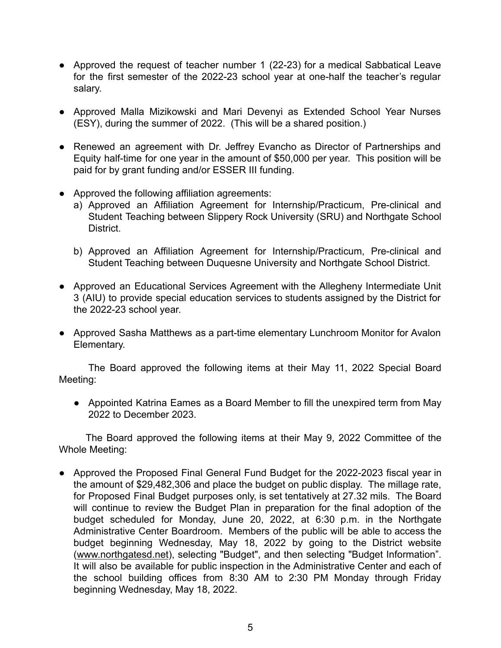- Approved the request of teacher number 1 (22-23) for a medical Sabbatical Leave for the first semester of the 2022-23 school year at one-half the teacher's regular salary.
- Approved Malla Mizikowski and Mari Devenyi as Extended School Year Nurses (ESY), during the summer of 2022. (This will be a shared position.)
- Renewed an agreement with Dr. Jeffrey Evancho as Director of Partnerships and Equity half-time for one year in the amount of \$50,000 per year. This position will be paid for by grant funding and/or ESSER III funding.
- Approved the following affiliation agreements:
	- a) Approved an Affiliation Agreement for Internship/Practicum, Pre-clinical and Student Teaching between Slippery Rock University (SRU) and Northgate School District.
	- b) Approved an Affiliation Agreement for Internship/Practicum, Pre-clinical and Student Teaching between Duquesne University and Northgate School District.
- Approved an Educational Services Agreement with the Allegheny Intermediate Unit 3 (AIU) to provide special education services to students assigned by the District for the 2022-23 school year.
- Approved Sasha Matthews as a part-time elementary Lunchroom Monitor for Avalon Elementary.

The Board approved the following items at their May 11, 2022 Special Board Meeting:

● Appointed Katrina Eames as a Board Member to fill the unexpired term from May 2022 to December 2023.

The Board approved the following items at their May 9, 2022 Committee of the Whole Meeting:

● Approved the Proposed Final General Fund Budget for the 2022-2023 fiscal year in the amount of \$29,482,306 and place the budget on public display. The millage rate, for Proposed Final Budget purposes only, is set tentatively at 27.32 mils. The Board will continue to review the Budget Plan in preparation for the final adoption of the budget scheduled for Monday, June 20, 2022, at 6:30 p.m. in the Northgate Administrative Center Boardroom. Members of the public will be able to access the budget beginning Wednesday, May 18, 2022 by going to the District website ([www.northgatesd.net](http://www.northgatesd.net/)), selecting "Budget", and then selecting "Budget Information". It will also be available for public inspection in the Administrative Center and each of the school building offices from 8:30 AM to 2:30 PM Monday through Friday beginning Wednesday, May 18, 2022.